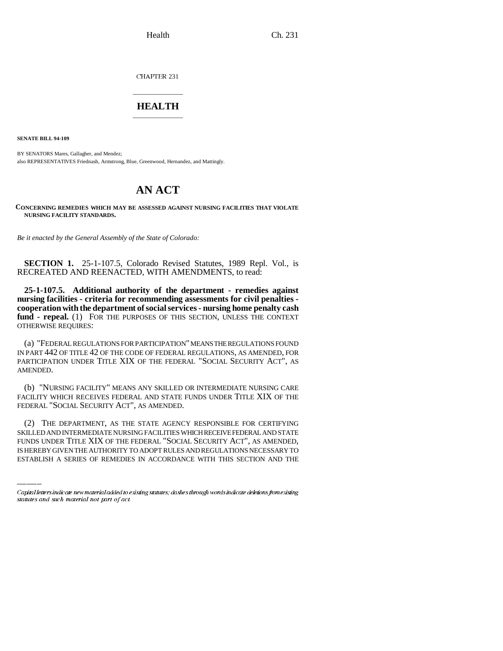CHAPTER 231

## \_\_\_\_\_\_\_\_\_\_\_\_\_\_\_ **HEALTH** \_\_\_\_\_\_\_\_\_\_\_\_\_\_\_

**SENATE BILL 94-109**

BY SENATORS Mares, Gallagher, and Mendez; also REPRESENTATIVES Friednash, Armstrong, Blue, Greenwood, Hernandez, and Mattingly.

# **AN ACT**

**CONCERNING REMEDIES WHICH MAY BE ASSESSED AGAINST NURSING FACILITIES THAT VIOLATE NURSING FACILITY STANDARDS.**

*Be it enacted by the General Assembly of the State of Colorado:*

**SECTION 1.** 25-1-107.5, Colorado Revised Statutes, 1989 Repl. Vol., is RECREATED AND REENACTED, WITH AMENDMENTS, to read:

**25-1-107.5. Additional authority of the department - remedies against nursing facilities - criteria for recommending assessments for civil penalties cooperation with the department of social services - nursing home penalty cash** fund - repeal. (1) FOR THE PURPOSES OF THIS SECTION, UNLESS THE CONTEXT OTHERWISE REQUIRES:

(a) "FEDERAL REGULATIONS FOR PARTICIPATION" MEANS THE REGULATIONS FOUND IN PART 442 OF TITLE 42 OF THE CODE OF FEDERAL REGULATIONS, AS AMENDED, FOR PARTICIPATION UNDER TITLE XIX OF THE FEDERAL "SOCIAL SECURITY ACT", AS AMENDED.

(b) "NURSING FACILITY" MEANS ANY SKILLED OR INTERMEDIATE NURSING CARE FACILITY WHICH RECEIVES FEDERAL AND STATE FUNDS UNDER TITLE XIX OF THE FEDERAL "SOCIAL SECURITY ACT", AS AMENDED.

(2) THE DEPARTMENT, AS THE STATE AGENCY RESPONSIBLE FOR CERTIFYING SKILLED AND INTERMEDIATE NURSING FACILITIES WHICH RECEIVE FEDERAL AND STATE FUNDS UNDER TITLE XIX OF THE FEDERAL "SOCIAL SECURITY ACT", AS AMENDED, IS HEREBY GIVEN THE AUTHORITY TO ADOPT RULES AND REGULATIONS NECESSARY TO ESTABLISH A SERIES OF REMEDIES IN ACCORDANCE WITH THIS SECTION AND THE

Capital letters indicate new material added to existing statutes; dashes through words indicate deletions from existing statutes and such material not part of act.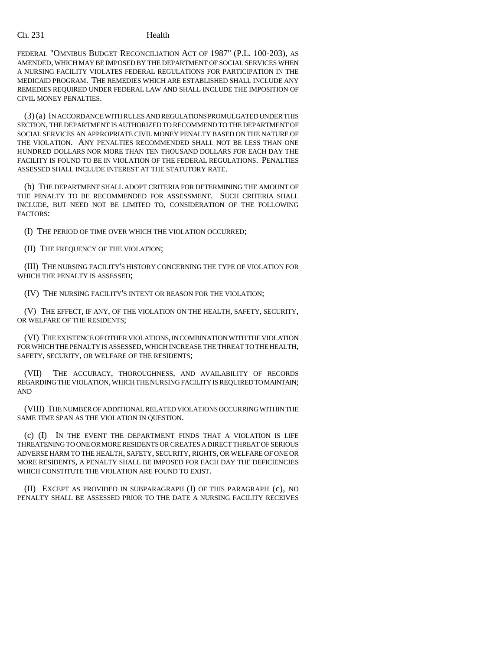### Ch. 231 Health

FEDERAL "OMNIBUS BUDGET RECONCILIATION ACT OF 1987" (P.L. 100-203), AS AMENDED, WHICH MAY BE IMPOSED BY THE DEPARTMENT OF SOCIAL SERVICES WHEN A NURSING FACILITY VIOLATES FEDERAL REGULATIONS FOR PARTICIPATION IN THE MEDICAID PROGRAM. THE REMEDIES WHICH ARE ESTABLISHED SHALL INCLUDE ANY REMEDIES REQUIRED UNDER FEDERAL LAW AND SHALL INCLUDE THE IMPOSITION OF CIVIL MONEY PENALTIES.

(3) (a) IN ACCORDANCE WITH RULES AND REGULATIONS PROMULGATED UNDER THIS SECTION, THE DEPARTMENT IS AUTHORIZED TO RECOMMEND TO THE DEPARTMENT OF SOCIAL SERVICES AN APPROPRIATE CIVIL MONEY PENALTY BASED ON THE NATURE OF THE VIOLATION. ANY PENALTIES RECOMMENDED SHALL NOT BE LESS THAN ONE HUNDRED DOLLARS NOR MORE THAN TEN THOUSAND DOLLARS FOR EACH DAY THE FACILITY IS FOUND TO BE IN VIOLATION OF THE FEDERAL REGULATIONS. PENALTIES ASSESSED SHALL INCLUDE INTEREST AT THE STATUTORY RATE.

(b) THE DEPARTMENT SHALL ADOPT CRITERIA FOR DETERMINING THE AMOUNT OF THE PENALTY TO BE RECOMMENDED FOR ASSESSMENT. SUCH CRITERIA SHALL INCLUDE, BUT NEED NOT BE LIMITED TO, CONSIDERATION OF THE FOLLOWING FACTORS:

(I) THE PERIOD OF TIME OVER WHICH THE VIOLATION OCCURRED;

(II) THE FREQUENCY OF THE VIOLATION;

(III) THE NURSING FACILITY'S HISTORY CONCERNING THE TYPE OF VIOLATION FOR WHICH THE PENALTY IS ASSESSED;

(IV) THE NURSING FACILITY'S INTENT OR REASON FOR THE VIOLATION;

(V) THE EFFECT, IF ANY, OF THE VIOLATION ON THE HEALTH, SAFETY, SECURITY, OR WELFARE OF THE RESIDENTS;

(VI) THE EXISTENCE OF OTHER VIOLATIONS, IN COMBINATION WITH THE VIOLATION FOR WHICH THE PENALTY IS ASSESSED, WHICH INCREASE THE THREAT TO THE HEALTH, SAFETY, SECURITY, OR WELFARE OF THE RESIDENTS;

(VII) THE ACCURACY, THOROUGHNESS, AND AVAILABILITY OF RECORDS REGARDING THE VIOLATION, WHICH THE NURSING FACILITY IS REQUIRED TO MAINTAIN; AND

(VIII) THE NUMBER OF ADDITIONAL RELATED VIOLATIONS OCCURRING WITHIN THE SAME TIME SPAN AS THE VIOLATION IN QUESTION.

(c) (I) IN THE EVENT THE DEPARTMENT FINDS THAT A VIOLATION IS LIFE THREATENING TO ONE OR MORE RESIDENTS OR CREATES A DIRECT THREAT OF SERIOUS ADVERSE HARM TO THE HEALTH, SAFETY, SECURITY, RIGHTS, OR WELFARE OF ONE OR MORE RESIDENTS, A PENALTY SHALL BE IMPOSED FOR EACH DAY THE DEFICIENCIES WHICH CONSTITUTE THE VIOLATION ARE FOUND TO EXIST.

(II) EXCEPT AS PROVIDED IN SUBPARAGRAPH (I) OF THIS PARAGRAPH (c), NO PENALTY SHALL BE ASSESSED PRIOR TO THE DATE A NURSING FACILITY RECEIVES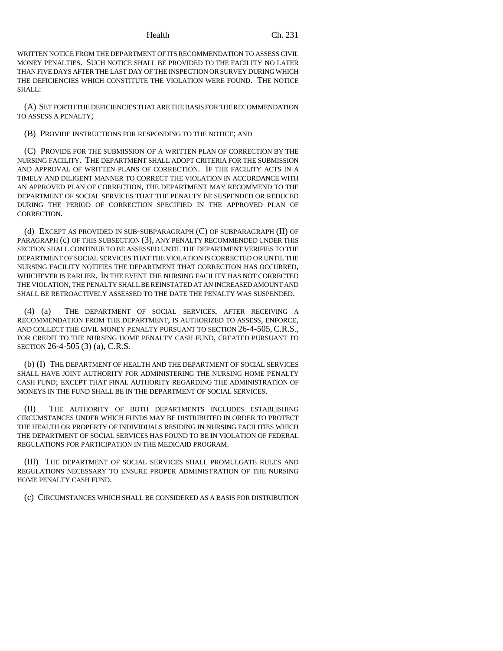### Health Ch. 231

WRITTEN NOTICE FROM THE DEPARTMENT OF ITS RECOMMENDATION TO ASSESS CIVIL MONEY PENALTIES. SUCH NOTICE SHALL BE PROVIDED TO THE FACILITY NO LATER THAN FIVE DAYS AFTER THE LAST DAY OF THE INSPECTION OR SURVEY DURING WHICH THE DEFICIENCIES WHICH CONSTITUTE THE VIOLATION WERE FOUND. THE NOTICE SHALL:

(A) SET FORTH THE DEFICIENCIES THAT ARE THE BASIS FOR THE RECOMMENDATION TO ASSESS A PENALTY;

(B) PROVIDE INSTRUCTIONS FOR RESPONDING TO THE NOTICE; AND

(C) PROVIDE FOR THE SUBMISSION OF A WRITTEN PLAN OF CORRECTION BY THE NURSING FACILITY. THE DEPARTMENT SHALL ADOPT CRITERIA FOR THE SUBMISSION AND APPROVAL OF WRITTEN PLANS OF CORRECTION. IF THE FACILITY ACTS IN A TIMELY AND DILIGENT MANNER TO CORRECT THE VIOLATION IN ACCORDANCE WITH AN APPROVED PLAN OF CORRECTION, THE DEPARTMENT MAY RECOMMEND TO THE DEPARTMENT OF SOCIAL SERVICES THAT THE PENALTY BE SUSPENDED OR REDUCED DURING THE PERIOD OF CORRECTION SPECIFIED IN THE APPROVED PLAN OF CORRECTION.

(d) EXCEPT AS PROVIDED IN SUB-SUBPARAGRAPH (C) OF SUBPARAGRAPH (II) OF PARAGRAPH (c) OF THIS SUBSECTION (3), ANY PENALTY RECOMMENDED UNDER THIS SECTION SHALL CONTINUE TO BE ASSESSED UNTIL THE DEPARTMENT VERIFIES TO THE DEPARTMENT OF SOCIAL SERVICES THAT THE VIOLATION IS CORRECTED OR UNTIL THE NURSING FACILITY NOTIFIES THE DEPARTMENT THAT CORRECTION HAS OCCURRED, WHICHEVER IS EARLIER. IN THE EVENT THE NURSING FACILITY HAS NOT CORRECTED THE VIOLATION, THE PENALTY SHALL BE REINSTATED AT AN INCREASED AMOUNT AND SHALL BE RETROACTIVELY ASSESSED TO THE DATE THE PENALTY WAS SUSPENDED.

(4) (a) THE DEPARTMENT OF SOCIAL SERVICES, AFTER RECEIVING A RECOMMENDATION FROM THE DEPARTMENT, IS AUTHORIZED TO ASSESS, ENFORCE, AND COLLECT THE CIVIL MONEY PENALTY PURSUANT TO SECTION 26-4-505, C.R.S., FOR CREDIT TO THE NURSING HOME PENALTY CASH FUND, CREATED PURSUANT TO SECTION 26-4-505 (3) (a), C.R.S.

(b) (I) THE DEPARTMENT OF HEALTH AND THE DEPARTMENT OF SOCIAL SERVICES SHALL HAVE JOINT AUTHORITY FOR ADMINISTERING THE NURSING HOME PENALTY CASH FUND; EXCEPT THAT FINAL AUTHORITY REGARDING THE ADMINISTRATION OF MONEYS IN THE FUND SHALL BE IN THE DEPARTMENT OF SOCIAL SERVICES.

(II) THE AUTHORITY OF BOTH DEPARTMENTS INCLUDES ESTABLISHING CIRCUMSTANCES UNDER WHICH FUNDS MAY BE DISTRIBUTED IN ORDER TO PROTECT THE HEALTH OR PROPERTY OF INDIVIDUALS RESIDING IN NURSING FACILITIES WHICH THE DEPARTMENT OF SOCIAL SERVICES HAS FOUND TO BE IN VIOLATION OF FEDERAL REGULATIONS FOR PARTICIPATION IN THE MEDICAID PROGRAM.

(III) THE DEPARTMENT OF SOCIAL SERVICES SHALL PROMULGATE RULES AND REGULATIONS NECESSARY TO ENSURE PROPER ADMINISTRATION OF THE NURSING HOME PENALTY CASH FUND.

(c) CIRCUMSTANCES WHICH SHALL BE CONSIDERED AS A BASIS FOR DISTRIBUTION